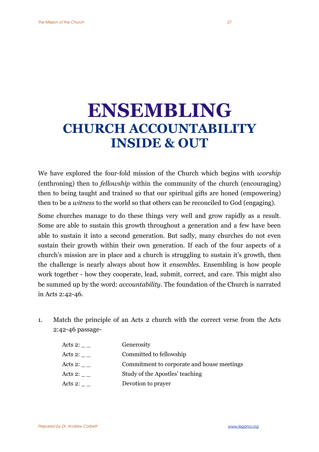## **ENSEMBLING CHURCH ACCOUNTABILITY INSIDE & OUT**

We have explored the four-fold mission of the Church which begins with *worship* (enthroning) then to *fellowship* within the community of the church (encouraging) then to being taught and trained so that our spiritual gifts are honed (empowering) then to be a *witness* to the world so that others can be reconciled to God (engaging).

Some churches manage to do these things very well and grow rapidly as a result. Some are able to sustain this growth throughout a generation and a few have been able to sustain it into a second generation. But sadly, many churches do not even sustain their growth within their own generation. If each of the four aspects of a church's mission are in place and a church is struggling to sustain it's growth, then the challenge is nearly always about how it *ensembles*. Ensembling is how people work together - how they cooperate, lead, submit, correct, and care. This might also be summed up by the word: *accountability*. The foundation of the Church is narrated in Acts 2:42-46.

1. Match the principle of an Acts 2 church with the correct verse from the Acts 2:42-46 passage-

| Acts 2:      | Generosity                                 |
|--------------|--------------------------------------------|
| Acts 2: $\_$ | Committed to fellowship                    |
| Acts 2: $\_$ | Commitment to corporate and house meetings |
| Acts 2:      | Study of the Apostles' teaching            |
| Acts 2:      | Devotion to prayer                         |
|              |                                            |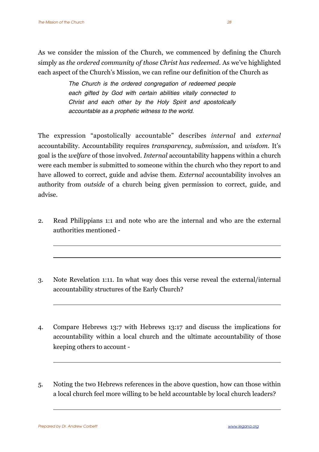As we consider the mission of the Church, we commenced by defining the Church simply as *the ordered community of those Christ has redeemed.* As we've highlighted each aspect of the Church's Mission, we can refine our definition of the Church as

> *The Church is the ordered congregation of redeemed people each gifted by God with certain abilities vitally connected to Christ and each other by the Holy Spirit and apostolically accountable as a prophetic witness to the world.*

The expression "apostolically accountable" describes *internal* and *external* accountability. Accountability requires *transparency*, *submission*, and *wisdom*. It's goal is the *welfare* of those involved. *Internal* accountability happens within a church were each member is submitted to someone within the church who they report to and have allowed to correct, guide and advise them. *External* accountability involves an authority from *outside* of a church being given permission to correct, guide, and advise.

- 2. Read Philippians 1:1 and note who are the internal and who are the external authorities mentioned -
- 3. Note Revelation 1:11. In what way does this verse reveal the external/internal accountability structures of the Early Church?
- 4. Compare Hebrews 13:7 with Hebrews 13:17 and discuss the implications for accountability within a local church and the ultimate accountability of those keeping others to account -
- 5. Noting the two Hebrews references in the above question, how can those within a local church feel more willing to be held accountable by local church leaders?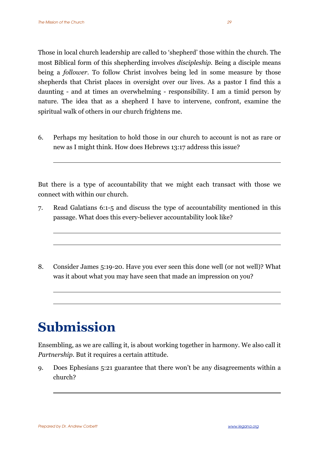Those in local church leadership are called to 'shepherd' those within the church. The most Biblical form of this shepherding involves *discipleship*. Being a disciple means being a *follower*. To follow Christ involves being led in some measure by those shepherds that Christ places in oversight over our lives. As a pastor I find this a daunting - and at times an overwhelming - responsibility. I am a timid person by nature. The idea that as a shepherd I have to intervene, confront, examine the spiritual walk of others in our church frightens me.

6. Perhaps my hesitation to hold those in our church to account is not as rare or new as I might think. How does Hebrews 13:17 address this issue?

But there is a type of accountability that we might each transact with those we connect with within our church.

- 7. Read Galatians 6:1-5 and discuss the type of accountability mentioned in this passage. What does this every-believer accountability look like?
- 8. Consider James 5:19-20. Have you ever seen this done well (or not well)? What was it about what you may have seen that made an impression on you?

## **Submission**

Ensembling, as we are calling it, is about working together in harmony. We also call it *Partnership*. But it requires a certain attitude.

9. Does Ephesians 5:21 guarantee that there won't be any disagreements within a church?